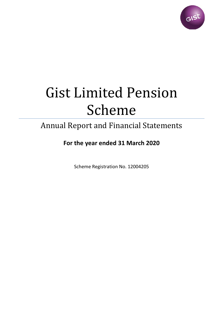

# Gist Limited Pension Scheme

# Annual Report and Financial Statements

# **For the year ended 31 March 2020**

Scheme Registration No. 12004205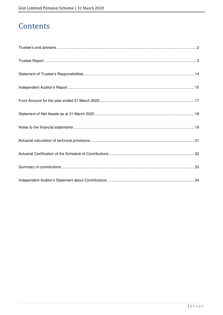# Contents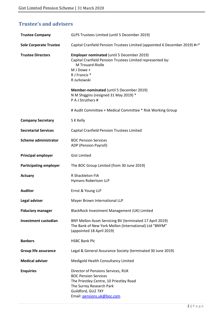# **Trustee's and advisers**

| <b>Trustee Company</b>        | GLPS Trustees Limited (until 5 December 2019)                                                                                                                                                |
|-------------------------------|----------------------------------------------------------------------------------------------------------------------------------------------------------------------------------------------|
| <b>Sole Corporate Trustee</b> | Capital Cranfield Pension Trustees Limited (appointed 6 December 2019) #+*                                                                                                                   |
| <b>Trustee Directors</b>      | <b>Employer nominated (until 5 December 2019)</b><br>Capital Cranfield Pension Trustees Limited represented by:<br>M Trouard-Riolle<br>M J Dowe +<br>R J Francis *<br>R Jurkowski            |
|                               | Member-nominated (until 5 December 2019)<br>N M Shiggins (resigned 31 May 2019) *<br>P A J Struthers #                                                                                       |
|                               | # Audit Committee + Medical Committee * Risk Working Group                                                                                                                                   |
| <b>Company Secretary</b>      | S K Kelly                                                                                                                                                                                    |
| <b>Secretarial Services</b>   | <b>Capital Cranfield Pension Trustees Limited</b>                                                                                                                                            |
| <b>Scheme administrator</b>   | <b>BOC Pension Services</b><br>ADP (Pension Payroll)                                                                                                                                         |
| <b>Principal employer</b>     | <b>Gist Limited</b>                                                                                                                                                                          |
| <b>Participating employer</b> | The BOC Group Limited (from 30 June 2019)                                                                                                                                                    |
| Actuary                       | R Shackleton FIA<br>Hymans Robertson LLP                                                                                                                                                     |
| <b>Auditor</b>                | Ernst & Young LLP                                                                                                                                                                            |
| Legal adviser                 | Mayer Brown International LLP                                                                                                                                                                |
| <b>Fiduciary manager</b>      | BlackRock Investment Management (UK) Limited                                                                                                                                                 |
| <b>Investment custodian</b>   | BNY Mellon Asset Servicing BV (terminated 17 April 2019)<br>The Bank of New York Mellon (International) Ltd "BNYM"<br>(appointed 18 April 2019)                                              |
| <b>Bankers</b>                | <b>HSBC Bank Plc</b>                                                                                                                                                                         |
| <b>Group life assurance</b>   | Legal & General Assurance Society (terminated 30 June 2019)                                                                                                                                  |
| <b>Medical adviser</b>        | Medigold Health Consultancy Limited                                                                                                                                                          |
| <b>Enquiries</b>              | Director of Pensions Services, RUK<br><b>BOC Pension Services</b><br>The Priestley Centre, 10 Priestley Road<br>The Surrey Research Park<br>Guildford, GU2 7XY<br>Email: pensions.uk@boc.com |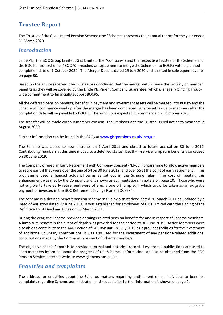# **Trustee Report**

The Trustee of the Gist Limited Pension Scheme (the "Scheme") presents their annual report for the year ended 31 March 2020.

## *Introduction*

Linde Plc, The BOC Group Limited, Gist Limited (the "Company") and the respective Trustee of the Scheme and the BOC Pension Scheme ("BOCPS") reached an agreement to merge the Scheme into BOCPS with a planned completion date of 1 October 2020. The Merger Deed is dated 29 July 2020 and is noted in subsequent events on page 30.

Based on the advice received, the Trustee has concluded that the merger will increase the security of member benefits as they will be covered by the Linde Plc Parent Company Guarantee, which is a legally binding groupwide commitment to financially support BOCPS.

All the deferred pension benefits, benefits in payment and investment assets will be merged into BOCPS and the Scheme will commence wind up after the merger has been completed. Any benefits due to members after the completion date will be payable by BOCPS. The wind up is expected to commence on 1 October 2020.

The transfer will be made without member consent. The Employer and the Trustee issued notice to members in August 2020.

Further information can be found in the FAQs at www.gistpensions.co.uk/merger.

The Scheme was closed to new entrants on 1 April 2011 and closed to future accrual on 30 June 2019. Contributing members at this time moved to a deferred status. Death-in-service lump sum benefits also ceased on 30 June 2019.

The Company offered an Early Retirement with Company Consent ("ERCC") programme to allow active members to retire early if they were over the age of 54 on 30 June 2019 (and over 55 at the point of early retirement). This programme used enhanced actuarial terms as set out in the Scheme rules. The cost of meeting this enhancement was met by the Company and is shown as augmentations in note 2 on page 20. Those who were not eligible to take early retirement were offered a one off lump sum which could be taken as an ex gratia payment or invested in the BOC Retirement Savings Plan ("BOCRSP").

The Scheme is a defined benefit pension scheme set up by a trust deed dated 30 March 2011 as updated by a Deed of Variation dated 27 June 2019. It was established for employees of GIST Limited with the signing of the Definitive Trust Deed and Rules on 30 March 2011.

During the year, the Scheme provided earnings-related pension benefits for and in respect of Scheme members. A lump sum benefit in the event of death was provided for the period to 30 June 2019. Active Members were also able to contribute to the AVC Section of BOCRSP until 28 July 2019 as it provides facilities for the investment of additional voluntary contributions. It was also used for the investment of any pensions-related additional contributions made by the Company in respect of Scheme members.

The objective of this Report is to provide a formal and historical record. Less formal publications are used to keep members informed about the progress of the Scheme. Information can also be obtained from the BOC Pension Services internet website www.gistpensions.co.uk.

# *Enquiries and complaints*

The address for enquiries about the Scheme, matters regarding entitlement of an individual to benefits, complaints regarding Scheme administration and requests for further information is shown on page 2.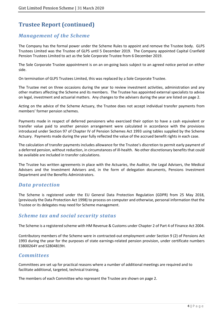# *Management of the Scheme*

The Company has the formal power under the Scheme Rules to appoint and remove the Trustee body. GLPS Trustees Limited was the Trustee of GLPS until 5 December 2019. The Company appointed Capital Cranfield Pension Trustees Limited to act as the Sole Corporate Trustee from 6 December 2019.

The Sole Corporate Trustee appointment is on an on-going basis subject to an agreed notice period on either side.

On termination of GLPS Trustees Limited, this was replaced by a Sole Corporate Trustee.

The Trustee met on three occasions during the year to review investment activities, administration and any other matters affecting the Scheme and its members. The Trustee has appointed external specialists to advise on legal, investment and actuarial matters. Any changes to the advisers during the year are listed on page 2.

Acting on the advice of the Scheme Actuary, the Trustee does not accept individual transfer payments from members' former pension schemes.

Payments made in respect of deferred pensioners who exercised their option to have a cash equivalent or transfer value paid to another pension arrangement were calculated in accordance with the provisions introduced under Section 97 of Chapter IV of Pension Schemes Act 1993 using tables supplied by the Scheme Actuary. Payments made during the year fully reflected the value of the accrued benefit rights in each case.

The calculation of transfer payments includes allowance for the Trustee's discretion to permit early payment of a deferred pension, without reduction, in circumstances of ill-health. No other discretionary benefits that could be available are included in transfer calculations.

The Trustee has written agreements in place with the Actuaries, the Auditor, the Legal Advisers, the Medical Advisers and the Investment Advisers and, in the form of delegation documents, Pensions Investment Department and the Benefits Administrators.

## *Data protection*

The Scheme is registered under the EU General Data Protection Regulation (GDPR) from 25 May 2018, (previously the Data Protection Act 1998) to process on computer and otherwise, personal information that the Trustee or its delegates may need for Scheme management.

## *Scheme tax and social security status*

The Scheme is a registered scheme with HM Revenue & Customs under Chapter 2 of Part 4 of Finance Act 2004.

Contributory members of the Scheme were in contracted-out employment under Section 9 (2) of Pensions Act 1993 during the year for the purposes of state earnings-related pension provision, under certificate numbers E3800264Y and S2804819H.

## *Committees*

Committees are set up for practical reasons where a number of additional meetings are required and to facilitate additional, targeted, technical training.

The members of each Committee who represent the Trustee are shown on page 2.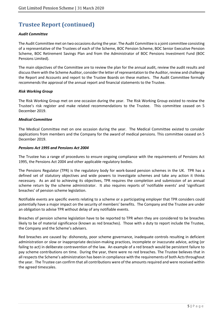#### *Audit Committee*

The Audit Committee met on two occasions during the year. The Audit Committee is a joint committee consisting of a representative of the Trustees of each of the Scheme, BOC Pension Scheme, BOC Senior Executive Pension Scheme, BOC Retirement Savings Plan and from the Administrator of BOC Pensions Investment Fund (BOC Pensions Limited).

The main objectives of the Committee are to review the plan for the annual audit, review the audit results and discuss them with the Scheme Auditor, consider the letter of representation to the Auditor, review and challenge the Report and Accounts and report to the Trustee Boards on these matters. The Audit Committee formally recommends the approval of the annual report and financial statements to the Trustee.

#### *Risk Working Group*

The Risk Working Group met on one occasion during the year. The Risk Working Group existed to review the Trustee's risk register and make related recommendations to the Trustee. This committee ceased on 5 December 2019.

#### *Medical Committee*

The Medical Committee met on one occasion during the year. The Medical Committee existed to consider applications from members and the Company for the award of medical pensions. This committee ceased on 5 December 2019.

#### *Pensions Act 1995 and Pensions Act 2004*

The Trustee has a range of procedures to ensure ongoing compliance with the requirements of Pensions Act 1995, the Pensions Act 2004 and other applicable regulatory bodies.

The Pensions Regulator (TPR) is the regulatory body for work-based pension schemes in the UK. TPR has a defined set of statutory objectives and wide powers to investigate schemes and take any action it thinks necessary. As an aid to achieving its objectives, TPR requires the completion and submission of an annual scheme return by the scheme administrator. It also requires reports of 'notifiable events' and 'significant breaches' of pension scheme legislation.

Notifiable events are specific events relating to a scheme or a participating employer that TPR considers could potentially have a major impact on the security of members' benefits. The Company and the Trustee are under an obligation to advise TPR without delay of any notifiable events.

Breaches of pension scheme legislation have to be reported to TPR when they are considered to be breaches likely to be of material significance (known as red breaches). Those with a duty to report include the Trustee, the Company and the Scheme's advisers.

Red breaches are caused by: dishonesty, poor scheme governance, inadequate controls resulting in deficient administration or slow or inappropriate decision-making practices, incomplete or inaccurate advice, acting (or failing to act) in deliberate contravention of the law. An example of a red breach would be persistent failure to pay scheme contributions on time. During the year, there were no red breaches. The Trustee believes that in all respects the Scheme's administration has been in compliance with the requirements of both Acts throughout the year. The Trustee can confirm that all contributions were of the amounts required and were received within the agreed timescales.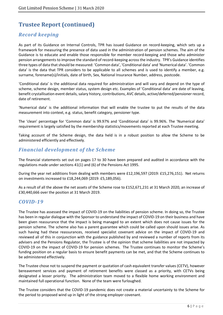# *Record keeping*

As part of its Guidance on Internal Controls, TPR has issued Guidance on record-keeping, which sets up a framework for measuring the presence of data used in the administration of pension schemes. The aim of the Guidance is to educate and enable those responsible for member record-keeping and those who administer pension arrangements to improve the standard of record-keeping across the industry. TPR's Guidance identifies three types of data that should be measured: 'Common data', 'Conditional data' and 'Numerical data'. 'Common data' is the data that TPR considers to be applicable to all schemes and is used to identify a member, e.g. surname, forename(s)/initials, date of birth, Sex, National Insurance Number, address, postcode.

'Conditional data' is the additional data required for administration and will vary and depend on the type of scheme, scheme design, member status, system design etc. Examples of 'Conditional data' are date of leaving, benefit crystallisation event details, salary history, contributions, AVC details, active/deferred/pensioner record, date of retirement.

'Numerical data' is the additional information that will enable the trustee to put the results of the data measurement into context, e.g. status, benefit category, pensioner type.

The 'clean' percentage for 'Common data' is 99.97% and 'Conditional data' is 99.96%. The 'Numerical data' requirement is largely satisfied by the membership statistics/movements reported at each Trustee meeting.

Taking account of the Scheme design, the data held is in a robust position to allow the Scheme to be administered efficiently and effectively.

# *Financial development of the Scheme*

The financial statements set out on pages 17 to 30 have been prepared and audited in accordance with the regulations made under sections 41(1) and (6) of the Pensions Act 1995.

During the year net additions from dealing with members were £12,196,597 (2019: £15,276,151). Net returns on investments increased to £18,244,069 (2019: £5,189,056).

As a result of all the above the net assets of the Scheme rose to £152,671,231 at 31 March 2020, an increase of £30,440,666 over the position at 31 March 2019.

### *COVID-19*

The Trustee has assessed the impact of COVID-19 on the liabilities of pension scheme. In doing so, the Trustee has been in regular dialogue with the Sponsor to understand the impact of COVID-19 on their business and have been given reassurance that the impact is being managed to an extent which does not cause issues for the pension scheme. The scheme also has a parent guarantee which could be called upon should issues arise. As such having had these reassurances, received specialist covenant advice on the impact of COVID-19 and reviewed all of this in conjunction with the guidance published by and reviewed a number of reports from its advisers and the Pensions Regulator, the Trustee is of the opinion that scheme liabilities are not impacted by COVID-19 on the impact of COVID-19 for pension schemes. The Trustee continues to monitor the Scheme's funding position on a regular basis to ensure benefit payments can be met, and that the Scheme continues to be administered effectively.

The Trustee chose not to suspend the payment or quotation of cash equivalent transfer values (CETV), however bereavement services and payment of retirement benefits were classed as a priority, with CETVs being designated a lesser priority. The administration team moved to a flexible home working environment and maintained full operational function. None of the team were furloughed.

The Trustee considers that the COVID-19 pandemic does not create a material uncertainty to the Scheme for the period to proposed wind up in light of the strong employer covenant.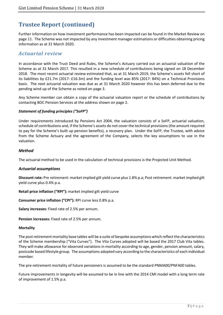Further information on how investment performance has been impacted can be found in the Market Review on page 11. The Scheme was not impacted by any investment manager estimations or difficulties obtaining pricing information as at 31 March 2020.

### *Actuarial review*

In accordance with the Trust Deed and Rules, the Scheme's Actuary carried out an actuarial valuation of the Scheme as at 31 March 2017. This resulted in a new schedule of contributions being signed on 18 December 2018. The most recent actuarial review estimated that, as at 31 March 2019, the Scheme's assets fell short of its liabilities by £21.7m (2017: £16.3m) and the funding level was 85% (2017: 84%) on a Technical Provisions basis. The next actuarial valuation was due as at 31 March 2020 however this has been deferred due to the pending wind up of the Scheme as noted on page 3.

Any Scheme member can obtain a copy of the actuarial valuation report or the schedule of contributions by contacting BOC Pension Services at the address shown on page 2.

#### *Statement of funding principles ("SoFP")*

Under requirements introduced by Pensions Act 2004, the valuation consists of a SoFP, actuarial valuation, schedule of contributions and, if the Scheme's assets do not cover the technical provisions (the amount required to pay for the Scheme's built up pension benefits), a recovery plan. Under the SoFP, the Trustee, with advice from the Scheme Actuary and the agreement of the Company, selects the key assumptions to use in the valuation.

#### *Method*

The actuarial method to be used in the calculation of technical provisions is the Projected Unit Method.

#### *Actuarial assumptions*

**Discount rate:** Pre retirement: market implied gilt yield curve plus 1.8% p.a; Post retirement: market implied gilt yield curve plus 0.4% p.a.

**Retail price inflation ("RPI"):** market implied gilt yield curve

**Consumer price inflation ("CPI"):** RPI curve less 0.8% p.a.

**Salary increases:** Fixed rate of 2.5% per annum.

**Pension increases:** Fixed rate of 2.5% per annum.

#### **Mortality**

The post retirement mortality base tables will be a suite of bespoke assumptions which reflect the characteristics of the Scheme membership ("Vita Curves"). The Vita Curves adopted will be based the 2017 Club Vita tables. They will make allowance for observed variations in mortality according to age, gender, pension amount, salary, postcode based lifestyle group. The assumptions adopted vary according to the characteristics of each individual member.

The pre-retirement mortality of future pensioners is assumed to be the standard PNMA00/PNFA00 tables.

Future improvements in longevity will be assumed to be in line with the 2014 CMI model with a long term rate of improvement of 1.5% p.a.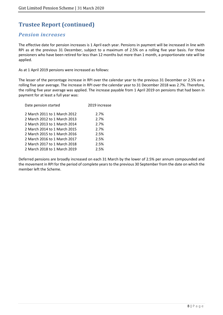# *Pension increases*

The effective date for pension increases is 1 April each year. Pensions in payment will be increased in line with RPI as at the previous 31 December, subject to a maximum of 2.5% on a rolling five year basis. For those pensioners who have been retired for less than 12 months but more than 1 month, a proportionate rate will be applied.

As at 1 April 2019 pensions were increased as follows:

The lesser of the percentage increase in RPI over the calendar year to the previous 31 December or 2.5% on a rolling five year average. The increase in RPI over the calendar year to 31 December 2018 was 2.7%. Therefore, the rolling five year average was applied. The increase payable from 1 April 2019 on pensions that had been in payment for at least a full year was:

| Date pension started         | 2019 increase |
|------------------------------|---------------|
| 2 March 2011 to 1 March 2012 | 2.7%          |
| 2 March 2012 to 1 March 2013 | 2.7%          |
| 2 March 2013 to 1 March 2014 | 2.7%          |
| 2 March 2014 to 1 March 2015 | 2.7%          |
| 2 March 2015 to 1 March 2016 | 2.5%          |
| 2 March 2016 to 1 March 2017 | 2.5%          |
| 2 March 2017 to 1 March 2018 | 2.5%          |
| 2 March 2018 to 1 March 2019 | 2.5%          |
|                              |               |

Deferred pensions are broadly increased on each 31 March by the lower of 2.5% per annum compounded and the movement in RPI for the period of complete years to the previous 30 September from the date on which the member left the Scheme.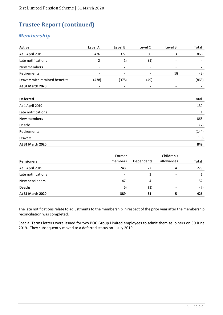# *Membership*

| <b>Active</b>                  | Level A        | Level B        | Level C | Level 3 | Total                    |
|--------------------------------|----------------|----------------|---------|---------|--------------------------|
| At 1 April 2019                | 436            | 377            | 50      | 3       | 866                      |
| Late notifications             | $\overline{2}$ | (1)            | (1)     | ۰.      | $\overline{\phantom{a}}$ |
| New members                    | $\blacksquare$ | $\overline{2}$ |         |         | $\overline{2}$           |
| Retirements                    |                |                |         | (3)     | (3)                      |
| Leavers with retained benefits | (438)          | (378)          | (49)    |         | (865)                    |
| At 31 March 2020               | ٠              |                |         |         |                          |
|                                |                |                |         |         |                          |
| <b>Deferred</b>                |                |                |         |         | Total                    |
| At 1 April 2019                |                |                |         |         | 139                      |
| Late notifications             |                |                |         |         | 1                        |
| New members                    |                |                |         |         | 865                      |
| Deaths                         |                |                |         |         | (2)                      |
| Retirements                    |                |                |         |         | (144)                    |
| Leavers                        |                |                |         |         | (10)                     |
| At 31 March 2020               |                |                |         |         | 849                      |

| <b>Pensioners</b>  | Former<br>members        | Dependants        | Children's<br>allowances     | Total |
|--------------------|--------------------------|-------------------|------------------------------|-------|
| At 1 April 2019    | 248                      | 27                | 4                            | 279   |
| Late notifications | $\overline{\phantom{a}}$ |                   | $\qquad \qquad \blacksquare$ |       |
| New pensioners     | 147                      | 4                 |                              | 152   |
| Deaths             | (6)                      | $\left( 1\right)$ |                              | (7)   |
| At 31 March 2020   | 389                      | 31                |                              | 425   |

The late notifications relate to adjustments to the membership in respect of the prior year after the membership reconciliation was completed.

Special Terms letters were issued for two BOC Group Limited employees to admit them as joiners on 30 June 2019. They subsequently moved to a deferred status on 1 July 2019.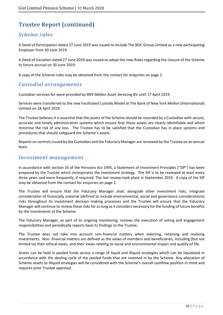# *Scheme rules*

A Deed of Participation dated 27 June 2019 was issued to include The BOC Group Limited as a new participating Employer from 30 June 2019.

A Deed of Variation dated 27 June 2019 was issued to adopt the new Rules regarding the closure of the Scheme to future accrual on 30 June 2019.

A copy of the Scheme rules may be obtained from the contact for enquiries on page 2.

## *Custodial arrangements*

Custodian services for were provided by BNY Mellon Asset Servicing BV until 17 April 2019.

Services were transferred to the new Facilitated Custody Model at The Bank of New York Mellon (International) Limited on 18 April 2019.

The Trustee believes it is essential that the assets of the Scheme should be recorded by a Custodian with secure, accurate and timely administration systems which ensure that those assets are clearly identifiable and which minimise the risk of any loss. The Trustee has to be satisfied that the Custodian has in place systems and procedures that should safeguard the Scheme's assets.

Reports on controls issued by the Custodian and the Fiduciary Manager are reviewed by the Trustee on an annual basis.

### *Investment management*

In accordance with section 35 of the Pensions Act 1995, a Statement of Investment Principles ("SIP") has been prepared by the Trustee which incorporates the investment strategy. The SIP is to be reviewed at least every three years and more frequently, if required. The last review took place in September 2019. A copy of the SIP may be obtained from the contact for enquiries on page 2.

The Trustee will ensure that the Fiduciary Manager shall, alongside other investment risks, integrate consideration of financially material (defined to include environmental, social and governance considerations) risks throughout its investment decision making processes and the Trustee will ensure that the Fiduciary Manager will continue to review these risks for as long as it considers necessary for the funding of future benefits by the investments of the Scheme.

The Fiduciary Manager, as part of its ongoing monitoring, reviews the execution of voting and engagement responsibilities and periodically reports back its findings to the Trustee.

The Trustee does not take into account non-financial matters when selecting, retaining and realising investments. Non- financial matters are defined as the views of members and beneficiaries, including (but not limited to) their ethical views, and their views relating to social and environmental impact and quality of life.

Assets can be held in pooled funds across a range of liquid and illiquid strategies which can be liquidated in accordance with the dealing cycle of the pooled funds that are invested in by the Scheme. Any allocation of Scheme assets to illiquid strategies will be considered with the Scheme's overall cashflow position in mind and requires prior Trustee approval.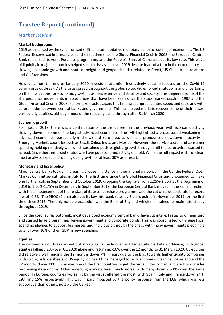### *Market Review*

#### **Market background**

2019 was marked by the synchronised shift to accommodative monetary policy across major economies. The US Federal Reserve cut interest rates for the first time since the Global Financial Crisis in 2008, the European Central Bank re-started its Asset Purchase programme, and the People's Bank of China also cut its key rate. This wave of liquidity in major economies helped sustain risk assets over 2019 despite fears of a turn in the economic cycle, slowing economic growth and bouts of heightened geopolitical risk related to Brexit, US-China trade relations and Gulf tensions.

However, from the end of January 2020, investors' attention increasingly became focused on the Covid-19 coronavirus outbreak. As the virus spread throughout the globe, so too did enforced shutdowns and uncertainty on the implications for economic growth, business revenue and stability and society. This triggered some of the sharpest price movements in asset prices that have been seen since the stock market crash in 1987 and the Global Financial Crisis in 2008. Policymakers acted again, this time with unprecedented speed and scale and with co-ordination between central banks and governments. This has helped markets recover some of their losses, particularly equities, although most of the recovery came through after 31 March 2020.

#### **Economic growth**

For most of 2019, there was a continuation of the trends seen in the previous year, with economic activity slowing down in some of the largest advanced economies. The IMF highlighted a broad-based weakening in advanced economies, particularly in the US and Euro area, as well as a pronounced slowdown in activity in Emerging Markets countries such as Brazil, China, India, and Mexico. However, the service sector and consumer spending held up relatively well which sustained positive global growth through until the coronavirus started to spread. Since then, enforced shutdowns have put economic activity on hold. While the full impact is still unclear, most analysts expect a drop in global growth of at least 30% as a result.

#### **Monetary and fiscal policy**

Major central banks took an increasingly loosening stance in their monetary policy. In the US, the Federal Open Market Committee cut rates in July for the first time since the Global Financial Crisis and proceeded to make one further cuts in September and October 2019, dropping the key rate from 2.25%-2.50% at the beginning of 2019 to 1.50%-1.75% in December. In September 2019, the European Central Bank moved in the same direction with the announcement of the re-start of its asset purchase programme and the cut of its deposit rate to record low of -0.5%. The PBOC (China) also cut its key interbank rates by 5 basis points in November 2019 for the first time since 2016. The only notable exception was the Bank of England which maintained its main rate steady throughout 2019.

Since the coronavirus outbreak, most developed economy central banks have cut interest rates to or near zero and started large programmes buying government and corporate bonds. This was coordinated with huge fiscal spending pledges to support businesses and individuals through the crisis, with many governments pledging a total of over 10% of their GDP in new spending.

#### **Equities**

The coronavirus outbreak wiped out strong gains made over 2019 in equity markets worldwide, with global equities falling c.20% over Q1 2020 alone and returning -10% over the 12 months to 31 March 2020. US equities did relatively well, ending the 12 months down 7%, in part due to the bias towards higher quality companies with strong balance sheets in US equity indices. China managed to recover some of its initial losses and end the 12 months down 11%. China was one of the first countries to get the virus under control and start to consider re-opening its economy. Other emerging markets fared much worse, with many down 20-30% over the same period. In Europe, countries worse hit by the virus suffered the most, with Spain, Italy and France down 24%, 19% and 15% respectively. This was in part impacted by the policy response from the ECB, which was less supportive than others, notably the US Fed.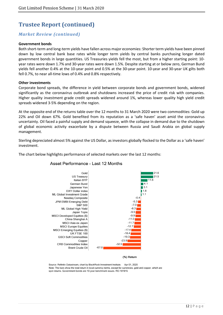### *Market Review (continued)*

#### **Government bonds**

Both short-term and long-term yields have fallen across major economies: Shorter term yields have been pinned down by low central bank base rates while longer term yields by central banks purchasing longer dated government bonds in large quantities. US Treasuries yields fell the most, but from a higher starting point: 10 year rates were down 1.7% and 30-year rates were down 1.5%. Despite starting at or below zero, German Bund yields fell another 0.4% at the 10-year point and 0.5% at the 30-year point. 10-year and 30-year UK gilts both fell 0.7%, to near all-time lows of 0.4% and 0.8% respectively.

#### **Other investments**

Corporate bond spreads, the difference in yield between corporate bonds and government bonds, widened significantly as the coronavirus outbreak and shutdowns increased the price of credit risk with companies. Higher quality investment grade credit spreads widened around 1%, whereas lower quality high yield credit spreads widened 3-5% depending on the region.

At the opposite end of the returns table over the 12 months to 31 March 2020 were two commodities: Gold up 22% and Oil down 67%. Gold benefited from its reputation as a 'safe haven' asset amid the coronavirus uncertainty. Oil faced a painful supply and demand squeeze, with the collapse in demand due to the shutdown of global economic activity exacerbate by a dispute between Russia and Saudi Arabia on global supply management.

Sterling depreciated almost 5% against the US Dollar, as investors globally flocked to the Dollar as a 'safe haven' investment.

The chart below highlights performance of selected markets over the last 12 months:



#### Asset Performance - Last 12 Months

Source: Refinitiv Datastream, chart by BlackRock Investment Institute. Apr 01, 2020 Note: The bars show the total return in local currency terms, except for currencies, gold and copper, which are spot returns. Government bonds are 10-year benchmark issues. RO-191915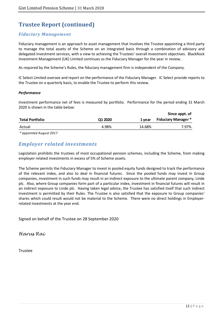### *Fiduciary Management*

Fiduciary management is an approach to asset management that involves the Trustee appointing a third party to manage the total assets of the Scheme on an integrated basis through a combination of advisory and delegated investment services, with a view to achieving the Trustees' overall investment objectives. BlackRock Investment Management (UK) Limited continues as the Fiduciary Manager for the year in review.

As required by the Scheme's Rules, the fiduciary management firm is independent of the Company.

IC Select Limited oversee and report on the performance of the Fiduciary Manager. IC Select provide reports to the Trustee on a quarterly basis, to enable the Trustee to perform this review.

#### *Performance*

Investment performance net of fees is measured by portfolio. Performance for the period ending 31 March 2020 is shown in the table below:

|                 |         |        | Since appt. of             |
|-----------------|---------|--------|----------------------------|
| Total Portfolio | Q1 2020 | 1 vear | <b>Fiduciary Manager *</b> |
| Actual          | 4.98%   | 14.68% | 7.97%                      |

*\* appointed August 2017*

# *Employer related investments*

Legislation prohibits the trustees of most occupational pension schemes, including the Scheme, from making employer-related investments in excess of 5% of Scheme assets.

The Scheme permits the Fiduciary Manager to invest in pooled equity funds designed to track the performance of the relevant index, and also to deal in financial futures. Since the pooled funds may invest in Group companies, investment in such funds may result in an indirect exposure to the ultimate parent company, Linde plc. Also, where Group companies form part of a particular index, investment in financial futures will result in an indirect exposure to Linde plc. Having taken legal advice, the Trustee has satisfied itself that such indirect investment is permitted by their Rules. The Trustee is also satisfied that the exposure to Group companies' shares which could result would not be material to the Scheme. There were no direct holdings in Employerrelated investments at the year end.

Signed on behalf of the Trustee on 28 September 2020

Harus Rai

Trustee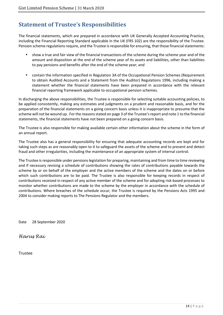# **Statement of Trustee's Responsibilities**

The financial statements, which are prepared in accordance with UK Generally Accepted Accounting Practice, including the Financial Reporting Standard applicable in the UK (FRS 102) are the responsibility of the Trustee. Pension scheme regulations require, and the Trustee is responsible for ensuring, that those financial statements:

- show a true and fair view of the financial transactions of the scheme during the scheme year and of the amount and disposition at the end of the scheme year of its assets and liabilities, other than liabilities to pay pensions and benefits after the end of the scheme year; and
- contain the information specified in Regulation 3A of the Occupational Pension Schemes (Requirement to obtain Audited Accounts and a Statement from the Auditor) Regulations 1996, including making a statement whether the financial statements have been prepared in accordance with the relevant financial reporting framework applicable to occupational pension schemes.

In discharging the above responsibilities, the Trustee is responsible for selecting suitable accounting policies, to be applied consistently, making any estimates and judgments on a prudent and reasonable basis, and for the preparation of the financial statements on a going concern basis unless it is inappropriate to presume that the scheme will not be wound up. For the reasons stated on page 3 of the Trustee's report and note 1 to the financial statements, the financial statements have not been prepared on a going concern basis.

The Trustee is also responsible for making available certain other information about the scheme in the form of an annual report.

The Trustee also has a general responsibility for ensuring that adequate accounting records are kept and for taking such steps as are reasonably open to it to safeguard the assets of the scheme and to prevent and detect fraud and other irregularities, including the maintenance of an appropriate system of internal control.

The Trustee is responsible under pensions legislation for preparing, maintaining and from time to time reviewing and if necessary revising a schedule of contributions showing the rates of contributions payable towards the scheme by or on behalf of the employer and the active members of the scheme and the dates on or before which such contributions are to be paid. The Trustee is also responsible for keeping records in respect of contributions received in respect of any active member of the scheme and for adopting risk-based processes to monitor whether contributions are made to the scheme by the employer in accordance with the schedule of contributions. Where breaches of the schedule occur, the Trustee is required by the Pensions Acts 1995 and 2004 to consider making reports to The Pensions Regulator and the members.

Date 28 September 2020

Harus Rai

Trustee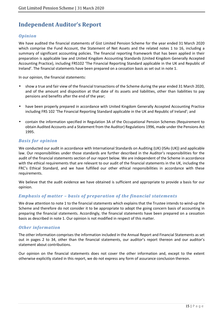# **Independent Auditor's Report**

### *Opinion*

We have audited the financial statements of Gist Limited Pension Scheme for the year ended 31 March 2020 which comprise the Fund Account, the Statement of Net Assets and the related notes 1 to 16, including a summary of significant accounting policies. The financial reporting framework that has been applied in their preparation is applicable law and United Kingdom Accounting Standards (United Kingdom Generally Accepted Accounting Practice), including FRS102 'The Financial Reporting Standard applicable in the UK and Republic of Ireland'. The financial statements have been prepared on a cessation basis as set out in note 1.

In our opinion, the financial statements:

- show a true and fair view of the financial transactions of the Scheme during the year ended 31 March 2020, and of the amount and disposition at that date of its assets and liabilities, other than liabilities to pay pensions and benefits after the end of the year;
- have been properly prepared in accordance with United Kingdom Generally Accepted Accounting Practice including FRS 102 'The Financial Reporting Standard applicable in the UK and Republic of Ireland'; and
- contain the information specified in Regulation 3A of the Occupational Pension Schemes (Requirement to obtain Audited Accounts and a Statement from the Auditor) Regulations 1996, made under the Pensions Act 1995.

### *Basis for opinion*

We conducted our audit in accordance with International Standards on Auditing (UK) (ISAs (UK)) and applicable law. Our responsibilities under those standards are further described in the Auditor's responsibilities for the audit of the financial statements section of our report below. We are independent of the Scheme in accordance with the ethical requirements that are relevant to our audit of the financial statements in the UK, including the FRC's Ethical Standard, and we have fulfilled our other ethical responsibilities in accordance with these requirements.

We believe that the audit evidence we have obtained is sufficient and appropriate to provide a basis for our opinion.

### *Emphasis of matter – basis of preparation of the financial statements*

We draw attention to note 1 to the financial statements which explains that the Trustee intends to wind-up the Scheme and therefore do not consider it to be appropriate to adopt the going concern basis of accounting in preparing the financial statements. Accordingly, the financial statements have been prepared on a cessation basis as described in note 1. Our opinion is not modified in respect of this matter.

### *Other information*

The other information comprises the information included in the Annual Report and Financial Statements as set out in pages 2 to 34, other than the financial statements, our auditor's report thereon and our auditor's statement about contributions.

Our opinion on the financial statements does not cover the other information and, except to the extent otherwise explicitly stated in this report, we do not express any form of assurance conclusion thereon.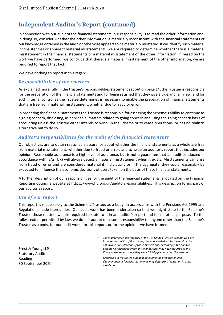# **Independent Auditor's Report (continued)**

In connection with our audit of the financial statements, our responsibility is to read the other information and, in doing so, consider whether the other information is materially inconsistent with the financial statements or our knowledge obtained in the audit or otherwise appears to be materially misstated. If we identify such material inconsistencies or apparent material misstatements, we are required to determine whether there is a material misstatement in the financial statements or a material misstatement of the other information. If, based on the work we have performed, we conclude that there is a material misstatement of the other information, we are required to report that fact.

We have nothing to report in this regard.

### *Responsibilities of the trustees*

As explained more fully in the trustee's responsibilities statement set out on page 14, the Trustee is responsible for the preparation of the financial statements and for being satisfied that they give a true and fair view, and for such internal control as the Trustee determines is necessary to enable the preparation of financial statements that are free from material misstatement, whether due to fraud or error.

In preparing the financial statements the Trustee is responsible for assessing the Scheme's ability to continue as a going concern, disclosing, as applicable, matters related to going concern and using the going concern basis of accounting unless the Trustee either intends to wind up the Scheme or to cease operations, or has no realistic alternative but to do so.

### *Auditor's responsibilities for the audit of the financial statements*

Our objectives are to obtain reasonable assurance about whether the financial statements as a whole are free from material misstatement, whether due to fraud or error, and to issue an auditor's report that includes our opinion. Reasonable assurance is a high level of assurance, but is not a guarantee that an audit conducted in accordance with ISAs (UK) will always detect a material misstatement when it exists. Misstatements can arise from fraud or error and are considered material if, individually or in the aggregate, they could reasonably be expected to influence the economic decisions of users taken on the basis of these financial statements.

A further description of our responsibilities for the audit of the financial statements is located on the Financial Reporting Council's website at https://www.frc.org.uk/auditorsresponsibilities. This description forms part of our auditor's report.

### *Use of our report*

This report is made solely to the Scheme's Trustee, as a body, in accordance with the Pensions Act 1995 and Regulations made thereunder. Our audit work has been undertaken so that we might state to the Scheme's Trustee those matters we are required to state to it in an auditor's report and for no other purpose. To the fullest extent permitted by law, we do not accept or assume responsibility to anyone other than the Scheme's Trustee as a body, for our audit work, for this report, or for the opinions we have formed.

Ernst & Young LLP Statutory Auditor Reading 30 September 2020

- *The maintenance and integrity of the Gist Limited Pension Scheme web site is the responsibility of the trustee; the work carried out by the auditor does not involve consideration of these matters and, accordingly, the auditor accepts no responsibility for any changes that may have occurred to the financial statements since they were initially presented on the web site.*
- *Legislation in the United Kingdom governing the preparation and dissemination of financial statements may differ from legislation in other jurisdictions.*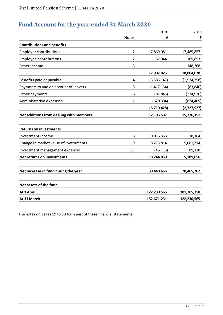# **Fund Account for the year ended 31 March 2020**

|                                         |                | 2020          | 2019        |
|-----------------------------------------|----------------|---------------|-------------|
|                                         | <b>Notes</b>   | £             | £           |
| <b>Contributions and benefits</b>       |                |               |             |
| <b>Employer contributions</b>           | 2              | 17,869,081    | 17,485,857  |
| <b>Employee contributions</b>           | $\overline{2}$ | 37,944        | 169,853     |
| Other income                            | 3              |               | 348,368     |
|                                         |                | 17,907,025    | 18,004,078  |
| Benefits paid or payable                | 4              | (3,585,147)   | (1,534,758) |
| Payments to and on account of leavers   | 5              | (1, 417, 134) | (83, 840)   |
| Other payments                          | 6              | (87, 843)     | (234, 920)  |
| Administrative expenses                 | $\overline{7}$ | (620, 304)    | (874, 409)  |
|                                         |                | (5,710,428)   | (2,727,927) |
| Net additions from dealing with members |                | 12,196,597    | 15,276,151  |
| <b>Returns on investments</b>           |                |               |             |
| Investment income                       | 8              | 10,016,368    | 18,164      |
| Change in market value of investments   | 9              | 8,273,814     | 5,081,714   |
| Investment management expenses          | 11             | (46, 113)     | 89,178      |
| <b>Net returns on investments</b>       |                | 18,244,069    | 5,189,056   |
| Net increase in fund during the year    |                | 30,440,666    | 20,465,207  |
| Net assets of the fund                  |                |               |             |
| At 1 April                              |                | 122,230,565   | 101,765,358 |
| At 31 March                             |                | 152,671,231   | 122,230,565 |

The notes on pages 19 to 30 form part of these financial statements.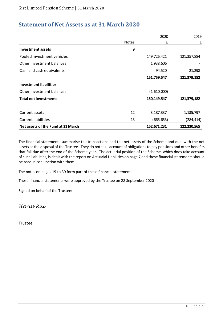# **Statement of Net Assets as at 31 March 2020**

|                                    |              | 2020        | 2019        |
|------------------------------------|--------------|-------------|-------------|
|                                    | <b>Notes</b> | £           | £           |
| <b>Investment assets</b>           | 9            |             |             |
| Pooled investment vehicles         |              | 149,726,421 | 121,357,884 |
| Other investment balances          |              | 1,938,606   |             |
| Cash and cash equivalents          |              | 94,520      | 21,298      |
|                                    |              | 151,759,547 | 121,379,182 |
| <b>Investment liabilities</b>      |              |             |             |
| Other investment balances          |              | (1,610,000) |             |
| <b>Total net investments</b>       |              | 150,149,547 | 121,379,182 |
|                                    |              |             |             |
| Current assets                     | 12           | 3,187,337   | 1,135,797   |
| <b>Current liabilities</b>         | 13           | (665, 653)  | (284, 414)  |
| Net assets of the Fund at 31 March |              | 152,671,231 | 122,230,565 |

The financial statements summarise the transactions and the net assets of the Scheme and deal with the net assets at the disposal of the Trustee. They do not take account of obligations to pay pensions and other benefits that fall due after the end of the Scheme year. The actuarial position of the Scheme, which does take account of such liabilities, is dealt with the report on Actuarial Liabilities on page 7 and these financial statements should be read in conjunction with them.

The notes on pages 19 to 30 form part of these financial statements.

These financial statements were approved by the Trustee on 28 September 2020

Signed on behalf of the Trustee:

Harus Rai

Trustee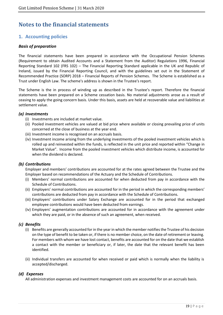# **Notes to the financial statements**

### **1. Accounting policies**

### *Basis of preparation*

The financial statements have been prepared in accordance with the Occupational Pension Schemes (Requirement to obtain Audited Accounts and a Statement from the Auditor) Regulations 1996, Financial Reporting Standard 102 (FRS 102) – The Financial Reporting Standard applicable in the UK and Republic of Ireland, issued by the Financial Reporting Council, and with the guidelines set out in the Statement of Recommended Practice (SORP) 2018 – Financial Reports of Pension Schemes. The Scheme is established as a Trust under English Law. The scheme's address is shown in the Trustee's report.

The Scheme is the in process of winding up as described in the Trustee's report. Therefore the financial statements have been prepared on a Scheme cessation basis. No material adjustments arose as a result of ceasing to apply the going concern basis. Under this basis, assets are held at recoverable value and liabilities at settlement value.

#### *(a) Investments*

- (i) Investments are included at market value.
- (ii) Pooled investment vehicles are valued at bid price where available or closing prevailing price of units concerned at the close of business at the year end.
- (iii) Investment income is recognised on an accruals basis.
- (iv) Investment income arising from the underlying investments of the pooled investment vehicles which is rolled up and reinvested within the funds, is reflected in the unit price and reported within "Change in Market Value". Income from the pooled investment vehicles which distribute income, is accounted for when the dividend is declared.

#### *(b) Contributions*

Employer and members' contributions are accounted for at the rates agreed between the Trustee and the Employer based on recommendations of the Actuary and the Schedule of Contributions.

- (i) Members' normal contributions are accounted for when deducted from pay in accordance with the Schedule of Contributions.
- (ii) Employers' normal contributions are accounted for in the period in which the corresponding members' contributions are deducted from pay in accordance with the Schedule of Contributions.
- (iii) Employers' contributions under Salary Exchange are accounted for in the period that exchanged employee contributions would have been deducted from earnings.
- (iv) Employers' augmentation contributions are accounted for in accordance with the agreement under which they are paid, or in the absence of such an agreement, when received.

#### *(c) Benefits*

- (i) Benefits are generally accounted for in the year in which the member notifies the Trustee of his decision on the type of benefit to be taken or, if there is no member choice, on the date of retirement or leaving. For members with whom we have lost contact, benefits are accounted for on the date that we establish a contact with the member or beneficiary or, if later, the date that the relevant benefit has been identified.
- (ii) Individual transfers are accounted for when received or paid which is normally when the liability is accepted/discharged.

#### *(d) Expenses*

All administration expenses and investment management costs are accounted for on an accruals basis.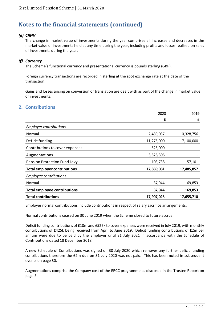### *(e) CIMV*

The change in market value of investments during the year comprises all increases and decreases in the market value of investments held at any time during the year, including profits and losses realised on sales of investments during the year.

### *(f) Currency*

The Scheme's functional currency and presentational currency is pounds sterling (GBP).

Foreign currency transactions are recorded in sterling at the spot exchange rate at the date of the transaction.

Gains and losses arising on conversion or translation are dealt with as part of the change in market value of investments.

### **2. Contributions**

|                                     | 2020       | 2019       |
|-------------------------------------|------------|------------|
|                                     | £          | £          |
| <b>Employer contributions</b>       |            |            |
| Normal                              | 2,439,037  | 10,328,756 |
| Deficit funding                     | 11,275,000 | 7,100,000  |
| Contributions to cover expenses     | 525,000    |            |
| Augmentations                       | 3,526,306  |            |
| Pension Protection Fund Levy        | 103,738    | 57,101     |
| <b>Total employer contributions</b> | 17,869,081 | 17,485,857 |
| <b>Employee contributions</b>       |            |            |
| Normal                              | 37,944     | 169,853    |
| <b>Total employee contributions</b> | 37,944     | 169,853    |
| <b>Total contributions</b>          | 17,907,025 | 17,655,710 |

Employer normal contributions include contributions in respect of salary sacrifice arrangements.

Normal contributions ceased on 30 June 2019 when the Scheme closed to future accrual.

Deficit funding contributions of £10m and £525k to cover expenses were received in July 2019, with monthly contributions of £425k being received from April to June 2019. Deficit funding contributions of £2m per annum were due to be paid by the Employer until 31 July 2021 in accordance with the Schedule of Contributions dated 18 December 2018.

A new Schedule of Contributions was signed on 30 July 2020 which removes any further deficit funding contributions therefore the £2m due on 31 July 2020 was not paid. This has been noted in subsequent events on page 30.

Augmentations comprise the Company cost of the ERCC programme as disclosed in the Trustee Report on page 3.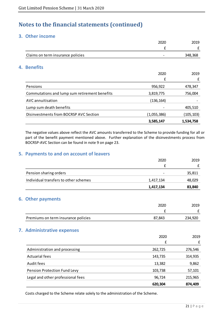### **3. Other income**

|                                               | 2020        | 2019       |
|-----------------------------------------------|-------------|------------|
|                                               |             | £          |
| Claims on term insurance policies             |             | 348,368    |
| <b>Benefits</b><br>4.                         |             |            |
|                                               | 2020        | 2019       |
|                                               | £           | £          |
| Pensions                                      | 956,922     | 478,347    |
| Commutations and lump sum retirement benefits | 3,819,775   | 756,004    |
| AVC annuitisation                             | (136, 164)  |            |
| Lump sum death benefits                       |             | 405,510    |
| Disinvestments from BOCRSP AVC Section        | (1,055,386) | (105, 103) |
|                                               | 3,585,147   | 1,534,758  |

The negative values above reflect the AVC amounts transferred to the Scheme to provide funding for all or part of the benefit payment mentioned above. Further explanation of the disinvestments process from BOCRSP-AVC Section can be found in note 9 on page 23.

## **5. Payments to and on account of leavers**

|                                       | 2020      | 2019    |
|---------------------------------------|-----------|---------|
|                                       | £         | £       |
| Pension sharing orders                |           | 35,811  |
| Individual transfers to other schemes | 1,417,134 | 48,029  |
|                                       | 1,417,134 | 83,840  |
| <b>6. Other payments</b>              |           |         |
|                                       | 2020      | 2019    |
|                                       | £         | £       |
| Premiums on term insurance policies   | 87,843    | 234,920 |
| 7. Administrative expenses            |           |         |
|                                       | 2020      | 2019    |
|                                       | £         | £       |
| Administration and processing         | 262,725   | 276,546 |
| <b>Actuarial fees</b>                 | 143,735   | 314,935 |
| Audit fees                            | 13,382    | 9,862   |
| Pension Protection Fund Levy          | 103,738   | 57,101  |
| Legal and other professional fees     | 96,724    | 215,965 |
|                                       | 620,304   | 874,409 |
|                                       |           |         |

Costs charged to the Scheme relate solely to the administration of the Scheme.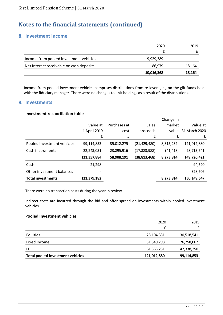### **8. Investment income**

|                                          | 2020       | 2019   |
|------------------------------------------|------------|--------|
|                                          |            |        |
| Income from pooled investment vehicles   | 9,929,389  |        |
| Net interest receivable on cash deposits | 86.979     | 18,164 |
|                                          | 10,016,368 | 18,164 |

Income from pooled investment vehicles comprises distributions from re-leveraging on the gilt funds held with the fiduciary manager. There were no changes to unit holdings as a result of the distributions.

### **9. Investments**

#### **Investment reconciliation table**

|                            |              |              |                | Change in |               |
|----------------------------|--------------|--------------|----------------|-----------|---------------|
|                            | Value at     | Purchases at | Sales          | market    | Value at      |
|                            | 1 April 2019 | cost         | proceeds       | value     | 31 March 2020 |
|                            | £            | £            | £              | £         | £             |
| Pooled investment vehicles | 99,114,853   | 35,012,275   | (21, 429, 480) | 8,315,232 | 121,012,880   |
| Cash instruments           | 22,243,031   | 23,895,916   | (17, 383, 988) | (41, 418) | 28,713,541    |
|                            | 121,357,884  | 58,908,191   | (38,813,468)   | 8,273,814 | 149,726,421   |
| Cash                       | 21,298       |              |                |           | 94,520        |
| Other investment balances  |              |              |                |           | 328,606       |
| <b>Total investments</b>   | 121,379,182  |              |                | 8,273,814 | 150,149,547   |

There were no transaction costs during the year in review.

Indirect costs are incurred through the bid and offer spread on investments within pooled investment vehicles.

#### **Pooled Investment vehicles**

|                                         | 2020        | 2019       |
|-----------------------------------------|-------------|------------|
|                                         | £           | £          |
| Equities                                | 28,104,331  | 30,518,541 |
| Fixed Income                            | 31,540,298  | 26,258,062 |
| LDI                                     | 61,368,251  | 42,338,250 |
| <b>Total pooled investment vehicles</b> | 121,012,880 | 99,114,853 |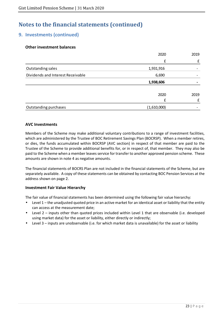### **9. Investments (continued)**

### **Other investment balances**

|                                   | 2020        | 2019 |
|-----------------------------------|-------------|------|
|                                   | £           |      |
| Outstanding sales                 | 1,931,916   |      |
| Dividends and Interest Receivable | 6,690       |      |
|                                   | 1,938,606   |      |
|                                   | 2020        | 2019 |
|                                   | £           |      |
| Outstanding purchases             | (1,610,000) |      |

#### **AVC Investments**

Members of the Scheme may make additional voluntary contributions to a range of investment facilities, which are administered by the Trustee of BOC Retirement Savings Plan (BOCRSP). When a member retires, or dies, the funds accumulated within BOCRSP (AVC section) in respect of that member are paid to the Trustee of the Scheme to provide additional benefits for, or in respect of, that member. They may also be paid to the Scheme when a member leaves service for transfer to another approved pension scheme. These amounts are shown in note 4 as negative amounts.

The financial statements of BOCRS Plan are not included in the financial statements of the Scheme, but are separately available. A copy of these statements can be obtained by contacting BOC Pension Services at the address shown on page 2.

#### **Investment Fair Value Hierarchy**

The fair value of financial statements has been determined using the following fair value hierarchy:

- Level 1 the unadjusted quoted price in an active market for an identical asset or liability that the entity can access at the measurement date;
- Level 2 inputs other than quoted prices included within Level 1 that are observable (i.e. developed using market data) for the asset or liability, either directly or indirectly;
- Level 3 inputs are unobservable (i.e. for which market data is unavailable) for the asset or liability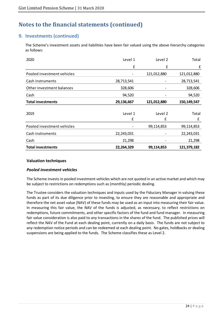### **9. Investments (continued)**

The Scheme's investment assets and liabilities have been fair valued using the above hierarchy categories as follows:

| 2020                       | Level 1      | Level 2      | Total         |
|----------------------------|--------------|--------------|---------------|
|                            | £            | £            | £             |
| Pooled investment vehicles |              | 121,012,880  | 121,012,880   |
| Cash instruments           | 28,713,541   |              | 28,713,541    |
| Other investment balances  | 328,606      |              | 328,606       |
| Cash                       | 94,520       |              | 94,520        |
| <b>Total investments</b>   | 29,136,667   | 121,012,880  | 150, 149, 547 |
| 2019                       | Level 1<br>£ | Level 2<br>£ | Total<br>£    |
| Pooled investment vehicles |              | 99,114,853   | 99,114,853    |
| Cash instruments           | 22,243,031   | -            | 22,243,031    |
| Cash                       | 21,298       |              | 21,298        |
| <b>Total investments</b>   | 22,264,329   | 99,114,853   | 121,379,182   |

#### **Valuation techniques**

#### *Pooled investment vehicles*

The Scheme invests in pooled investment vehicles which are not quoted in an active market and which may be subject to restrictions on redemptions such as (monthly) periodic dealing.

The Trustee considers the valuation techniques and inputs used by the Fiduciary Manager in valuing these funds as part of its due diligence prior to investing, to ensure they are reasonable and appropriate and therefore the net asset value (NAV) of these funds may be used as an input into measuring their fair value. In measuring this fair value, the NAV of the funds is adjusted, as necessary, to reflect restrictions on redemptions, future commitments, and other specific factors of the fund and fund manager. In measuring fair value consideration is also paid to any transactions in the shares of the fund. The published prices will reflect the NAV of the Fund at each dealing point, currently on a daily basis. The funds are not subject to any redemption notice periods and can be redeemed at each dealing point. No gates, holdbacks or dealing suspensions are being applied to the funds. The Scheme classifies these as Level 2.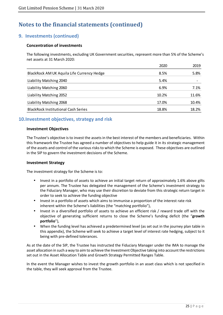### **9. Investments (continued)**

### **Concentration of investments**

The following investments, excluding UK Government securities, represent more than 5% of the Scheme's net assets at 31 March 2020:

|                                            | 2020  | 2019  |
|--------------------------------------------|-------|-------|
| BlackRock AM UK Aquila Life Currency Hedge | 8.5%  | 5.8%  |
| Liability Matching 2040                    | 5.4%  |       |
| Liability Matching 2060                    | 6.9%  | 7.1%  |
| Liability Matching 2052                    | 10.2% | 11.6% |
| Liability Matching 2068                    | 17.0% | 10.4% |
| <b>BlackRock Institutional Cash Series</b> | 18.8% | 18.2% |

### **10.Investment objectives, strategy and risk**

#### **Investment Objectives**

The Trustee's objective is to invest the assets in the best interest of the members and beneficiaries. Within this framework the Trustee has agreed a number of objectives to help guide it in its strategic management of the assets and control of the various risks to which the Scheme is exposed. These objectives are outlined in the SIP to govern the investment decisions of the Scheme.

#### **Investment Strategy**

The investment strategy for the Scheme is to:

- Invest in a portfolio of assets to achieve an initial target return of approximately 1.6% above gilts per annum. The Trustee has delegated the management of the Scheme's investment strategy to the Fiduciary Manager, who may use their discretion to deviate from this strategic return target in order to seek to achieve the funding objective
- Invest in a portfolio of assets which aims to immunise a proportion of the interest rate risk inherent within the Scheme's liabilities (the "matching portfolio"),
- Invest in a diversified portfolio of assets to achieve an efficient risk / reward trade off with the objective of generating sufficient returns to close the Scheme's funding deficit (the "**growth portfolio**"),
- When the funding level has achieved a predetermined level (as set out in the journey plan table in this appendix), the Scheme will seek to achieve a target level of interest rate hedging, subject to it being with pre-defined tolerances.

As at the date of the SIP, the Trustee has instructed the Fiduciary Manager under the IMA to manage the asset allocation in such a way to aim to achieve the Investment Objective taking into account the restrictions set out in the Asset Allocation Table and Growth Strategy Permitted Ranges Table.

In the event the Manager wishes to invest the growth portfolio in an asset class which is not specified in the table, they will seek approval from the Trustee.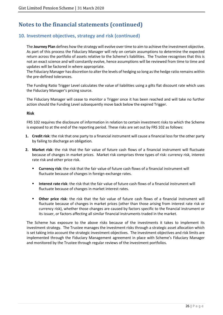### **10. Investment objectives, strategy and risk (continued)**

The **Journey Plan** defines how the strategy will evolve over time to aim to achieve the investment objective. As part of this process the Fiduciary Manager will rely on certain assumptions to determine the expected return across the portfolio of assets relative to the Scheme's liabilities. The Trustee recognises that this is not an exact science and will constantly evolve, hence assumptions will be reviewed from time to time and updates will be factored in where appropriate.

The Fiduciary Manager has discretion to alter the levels of hedging so long as the hedge ratio remains within the pre-defined tolerances.

The Funding Ratio Trigger Level calculates the value of liabilities using a gilts flat discount rate which uses the Fiduciary Manager's pricing source.

The Fiduciary Manager will cease to monitor a Trigger once it has been reached and will take no further action should the Funding Level subsequently move back below the expired Trigger.

#### **Risk**

FRS 102 requires the disclosure of information in relation to certain investment risks to which the Scheme is exposed to at the end of the reporting period. These risks are set out by FRS 102 as follows:

- **1. Credit risk**: the risk that one party to a financial instrument will cause a financial loss for the other party by failing to discharge an obligation*.*
- **2. Market risk**: the risk that the fair value of future cash flows of a financial instrument will fluctuate because of changes in market prices. Market risk comprises three types of risk: currency risk, interest rate risk and other price risk.
	- **Currency risk**: the risk that the fair value of future cash flows of a financial instrument will fluctuate because of changes in foreign exchange rates.
	- **Interest rate risk**: the risk that the fair value of future cash flows of a financial instrument will fluctuate because of changes in market interest rates.
	- **Other price risk**: the risk that the fair value of future cash flows of a financial instrument will fluctuate because of changes in market prices (other than those arising from interest rate risk or currency risk), whether those changes are caused by factors specific to the financial instrument or its issuer, or factors affecting all similar financial instruments traded in the market.

The Scheme has exposure to the above risks because of the investments it takes to implement its investment strategy. The Trustee manages the investment risks through a strategic asset allocation which is set taking into account the strategic investment objectives. The investment objectives and risk limits are implemented through the Fiduciary Management agreement in place with Scheme's Fiduciary Manager and monitored by the Trustee through regular reviews of the investment portfolios.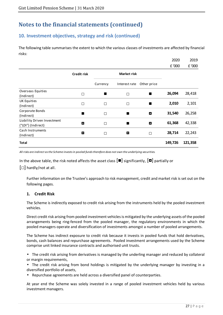# **10. Investment objectives, strategy and risk (continued)**

The following table summarises the extent to which the various classes of investments are affected by financial risks:

|                                                   |                          |          |                         |                | 2020    | 2019    |
|---------------------------------------------------|--------------------------|----------|-------------------------|----------------|---------|---------|
|                                                   |                          |          |                         |                | £ '000  | £ '000  |
|                                                   | <b>Credit risk</b>       |          | <b>Market risk</b>      |                |         |         |
|                                                   |                          | Currency | Interest rate           | Other price    |         |         |
| Overseas Equities<br>(Indirect)                   | $\Box$                   | п        | $\Box$                  | п              | 26,094  | 28,418  |
| UK Equities<br>(Indirect)                         | $\Box$                   | $\Box$   | П                       | $\blacksquare$ | 2,010   | 2,101   |
| Corporate Bonds<br>(Indirect)                     | п                        | $\Box$   | ٠                       | O              | 31,540  | 26,258  |
| Liability Driven Investment<br>("LDI") (Indirect) | D                        | $\Box$   |                         | $\bullet$      | 61,368  | 42,338  |
| Cash Instruments<br>(Indirect)                    | $\overline{\phantom{a}}$ | $\Box$   | $\overline{\mathbf{a}}$ | $\Box$         | 28,714  | 22,243  |
| <b>Total</b>                                      |                          |          |                         |                | 149,726 | 121,358 |

*All risks are indirect as the Scheme invests in pooled funds therefore does not own the underlying securities.* 

In the above table, the risk noted affects the asset class  $[\blacksquare]$  significantly,  $[\blacksquare]$  partially or

 $[\Box]$  hardly/not at all.

Further information on the Trustee's approach to risk management, credit and market risk is set out on the following pages.

#### **1. Credit Risk**

The Scheme is indirectly exposed to credit risk arising from the instruments held by the pooled investment vehicles.

Direct credit risk arising from pooled investment vehicles is mitigated by the underlying assets of the pooled arrangements being ring-fenced from the pooled manager, the regulatory environments in which the pooled managers operate and diversification of investments amongst a number of pooled arrangements.

The Scheme has indirect exposure to credit risk because it invests in pooled funds that hold derivatives, bonds, cash balances and repurchase agreements. Pooled investment arrangements used by the Scheme comprise unit linked insurance contracts and authorised unit trusts.

• The credit risk arising from derivatives is managed by the underling manager and reduced by collateral or margin requirements,

• The credit risk arising from bond holdings is mitigated by the underlying manager by investing in a diversified portfolio of assets,

• Repurchase agreements are held across a diversified panel of counterparties.

At year end the Scheme was solely invested in a range of pooled investment vehicles held by various investment managers.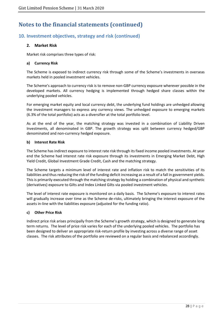### **10. Investment objectives, strategy and risk (continued)**

### **2. Market Risk**

Market risk comprises three types of risk:

#### **a) Currency Risk**

The Scheme is exposed to indirect currency risk through some of the Scheme's investments in overseas markets held in pooled investment vehicles.

The Scheme's approach to currency risk is to remove non-GBP currency exposure wherever possible in the developed markets. All currency hedging is implemented through hedged share classes within the underlying pooled vehicles.

For emerging market equity and local currency debt, the underlying fund holdings are unhedged allowing the investment managers to express any currency views. The unhedged exposure to emerging markets (6.3% of the total portfolio) acts as a diversifier at the total portfolio level.

As at the end of the year, the matching strategy was invested in a combination of Liability Driven Investments, all denominated in GBP. The growth strategy was split between currency hedged/GBP denominated and non-currency hedged exposure.

#### **b) Interest Rate Risk**

The Scheme has indirect exposure to interest rate risk through its fixed income pooled investments. At year end the Scheme had interest rate risk exposure through its investments in Emerging Market Debt, High Yield Credit, Global Investment Grade Credit, Cash and the matching strategy.

The Scheme targets a minimum level of interest rate and inflation risk to match the sensitivities of its liabilities and thus reducing the risk of the funding deficit increasing as a result of a fall in government yields. This is primarily executed through the matching strategy by holding a combination of physical and synthetic (derivatives) exposure to Gilts and Index Linked Gilts via pooled investment vehicles.

The level of interest rate exposure is monitored on a daily basis. The Scheme's exposure to interest rates will gradually increase over time as the Scheme de-risks, ultimately bringing the interest exposure of the assets in-line with the liabilities exposure (adjusted for the funding ratio).

#### **c) Other Price Risk**

Indirect price risk arises principally from the Scheme's growth strategy, which is designed to generate long term returns. The level of price risk varies for each of the underlying pooled vehicles. The portfolio has been designed to deliver an appropriate risk-return profile by investing across a diverse range of asset classes. The risk attributes of the portfolio are reviewed on a regular basis and rebalanced accordingly.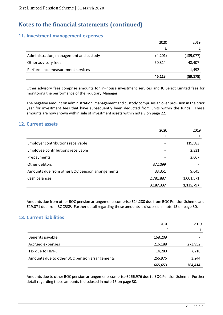### **11. Investment management expenses**

|                                        | 2020    | 2019      |
|----------------------------------------|---------|-----------|
|                                        |         |           |
| Administration, management and custody | (4,201) | (139,077) |
| Other advisory fees                    | 50,314  | 48,407    |
| Performance measurement services       | -       | 1,492     |
|                                        | 46,113  | (89, 178) |

Other advisory fees comprise amounts for in–house investment services and IC Select Limited fees for monitoring the performance of the Fiduciary Manager.

The negative amount on administration, management and custody comprises an over provision in the prior year for investment fees that have subsequently been deducted from units within the funds. These amounts are now shown within sale of investment assets within note 9 on page 22.

### **12. Current assets**

|                                                 | 2020      | 2019      |
|-------------------------------------------------|-----------|-----------|
|                                                 | £         |           |
| Employer contributions receivable               |           | 119,583   |
| Employee contributions receivable               |           | 2,331     |
| Prepayments                                     | -         | 2,667     |
| Other debtors                                   | 372,099   |           |
| Amounts due from other BOC pension arrangements | 33,351    | 9,645     |
| Cash balances                                   | 2,781,887 | 1,001,571 |
|                                                 | 3,187,337 | 1,135,797 |

Amounts due from other BOC pension arrangements comprise £14,280 due from BOC Pension Scheme and £19,071 due from BOCRSP. Further detail regarding these amounts is disclosed in note 15 on page 30.

### **13. Current liabilities**

|                                               | 2020    | 2019    |
|-----------------------------------------------|---------|---------|
|                                               | £       |         |
| Benefits payable                              | 168,209 |         |
| Accrued expenses                              | 216,188 | 273,952 |
| Tax due to HMRC                               | 14,280  | 7,218   |
| Amounts due to other BOC pension arrangements | 266,976 | 3,244   |
|                                               | 665,653 | 284,414 |

Amounts due to other BOC pension arrangements comprise £266,976 due to BOC Pension Scheme. Further detail regarding these amounts is disclosed in note 15 on page 30.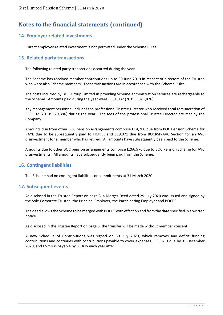### **14. Employer related investments**

Direct employer-related investment is not permitted under the Scheme Rules.

### **15. Related party transactions**

The following related party transactions occurred during the year.

The Scheme has received member contributions up to 30 June 2019 in respect of directors of the Trustee who were also Scheme members. These transactions are in accordance with the Scheme Rules.

The costs incurred by BOC Group Limited in providing Scheme administration services are rechargeable to the Scheme. Amounts paid during the year were £581,032 (2019: £821,876).

Key management personnel includes the professional Trustee Director who received total remuneration of £53,102 (2019: £79,396) during the year. The fees of the professional Trustee Director are met by the Company.

Amounts due from other BOC pension arrangements comprise £14,280 due from BOC Pension Scheme for PAYE due to be subsequently paid to HMRC; and £19,071 due from BOCRSP-AVC Section for an AVC disinvestment for a member who has retired. All amounts have subsequently been paid to the Scheme.

Amounts due to other BOC pension arrangements comprise £266,976 due to BOC Pension Scheme for AVC disinvestments. All amounts have subsequently been paid from the Scheme.

### **16. Contingent liabilities**

The Scheme had no contingent liabilities or commitments at 31 March 2020.

### **17. Subsequent events**

As disclosed in the Trustee Report on page 3, a Merger Deed dated 29 July 2020 was issued and signed by the Sole Corporate Trustee, the Principal Employer, the Participating Employer and BOCPS.

The deed allows the Scheme to be merged with BOCPS with effect on and from the date specified in a written notice.

As disclosed in the Trustee Report on page 3, the transfer will be made without member consent.

A new Schedule of Contributions was signed on 30 July 2020, which removes any deficit funding contributions and continues with contributions payable to cover expenses. £530k is due by 31 December 2020, and £525k is payable by 31 July each year after.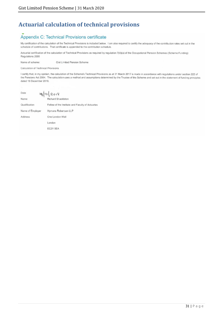# **Actuarial calculation of technical provisions**

# Appendix C: Technical Provisions certificate

My certification of the calculation of the Technical Provisions is included below. I am also required to certify the adequacy of the contribution rates set out in the schedule of contributions. That certificate is appended to the contribution schedule.

Actuarial certification of the calculation of Technical Provisions as required by regulation 7(4)(a) of the Occupational Pension Schemes (Scheme Funding) Regulations 2005

Name of scheme: **Gist Limited Pension Scheme** 

Calculation of Technical Provisions

I certify that, in my opinion, the calculation of the Scheme's Technical Provisions as at 31 March 2017 is made in accordance with regulations under section 222 of the Pensions Act 2004. The calculation uses a method and assumptions determined by the Trustee of the Scheme and set out in the statement of funding principles dated 18 December 2018.

| Date             | 18/12/2018                                       |
|------------------|--------------------------------------------------|
| Name             | <b>Richard Shackleton</b>                        |
| Qualification    | Fellow of the Institute and Faculty of Actuaries |
| Name of Employer | Hymans Robertson LLP                             |
| Address          | One London Wall                                  |
|                  | London                                           |
|                  | EC2Y 5EA                                         |
|                  |                                                  |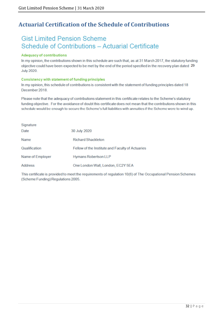# **Actuarial Certification of the Schedule of Contributions**

# **Gist Limited Pension Scheme Schedule of Contributions - Actuarial Certificate**

#### **Adequacy of contributions**

In my opinion, the contributions shown in this schedule are such that, as at 31 March 2017, the statutory funding objective could have been expected to be met by the end of the period specified in the recovery plan dated 29 **July 2020.** 

#### **Consistency with statement of funding principles**

In my opinion, this schedule of contributions is consistent with the statement of funding principles dated 18 December 2018.

Please note that the adequacy of contributions statement in this certificate relates to the Scheme's statutory funding objective. For the avoidance of doubt this certificate does not mean that the contributions shown in this schedule would be enough to secure the Scheme's full liabilities with annuities if the Scheme were to wind up.

| Signature        |                                                  |
|------------------|--------------------------------------------------|
| Date             | 30 July 2020                                     |
| Name             | <b>Richard Shackleton</b>                        |
| Qualification    | Fellow of the Institute and Faculty of Actuaries |
| Name of Employer | <b>Hymans Robertson LLP</b>                      |
| <b>Address</b>   | One London Wall, London, EC2Y 5EA                |

This certificate is provided to meet the requirements of regulation 10(6) of The Occupational Pension Schemes (Scheme Funding) Regulations 2005.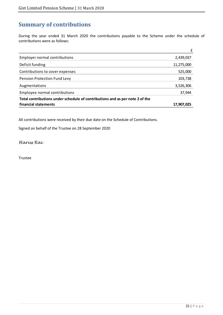# **Summary of contributions**

During the year ended 31 March 2020 the contributions payable to the Scheme under the schedule of contributions were as follows:

|                                                                              | f          |
|------------------------------------------------------------------------------|------------|
| <b>Employer normal contributions</b>                                         | 2,439,037  |
| Deficit funding                                                              | 11,275,000 |
| Contributions to cover expenses                                              | 525,000    |
| Pension Protection Fund Levy                                                 | 103,738    |
| Augmentations                                                                | 3,526,306  |
| Employee normal contributions                                                | 37,944     |
| Total contributions under schedule of contributions and as per note 2 of the |            |
| financial statements                                                         | 17.907.025 |

All contributions were received by their due date on the Schedule of Contributions.

Signed on behalf of the Trustee on 28 September 2020

Harus Rai

Trustee